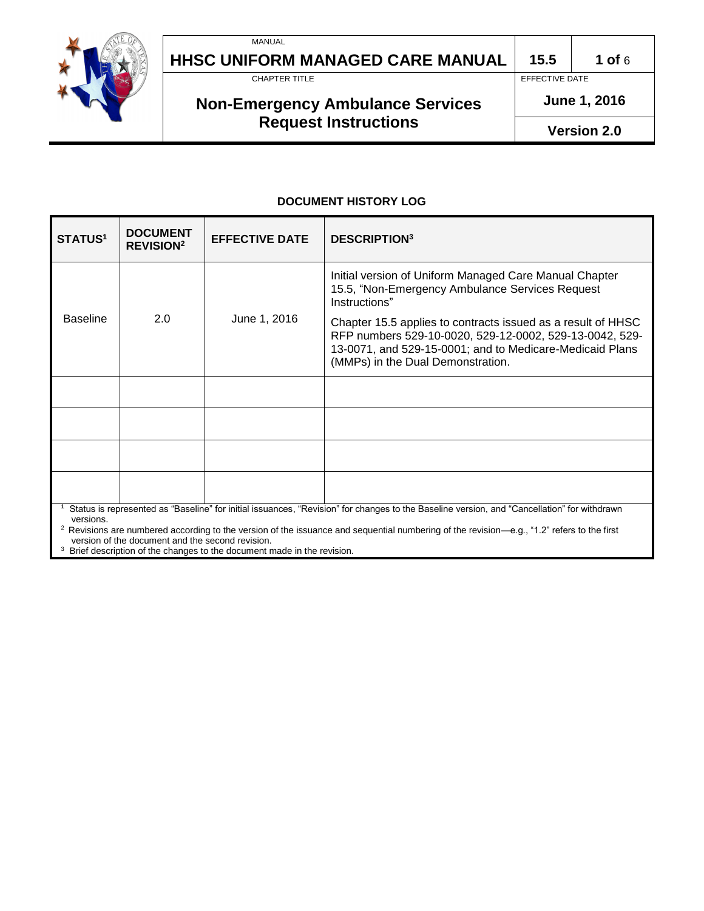

# **Non-Emergency Ambulance Services Request Instructions**

r **June 1, 2016**

EFFECTIVE DATE

**Version 2.0**

#### **DOCUMENT HISTORY LOG**

| <b>STATUS<sup>1</sup></b>                                                                                                                                                                                                                                                                                                                                             | <b>DOCUMENT</b><br><b>REVISION<sup>2</sup></b> | <b>EFFECTIVE DATE</b> | <b>DESCRIPTION</b> <sup>3</sup>                                                                                                                                                                                          |
|-----------------------------------------------------------------------------------------------------------------------------------------------------------------------------------------------------------------------------------------------------------------------------------------------------------------------------------------------------------------------|------------------------------------------------|-----------------------|--------------------------------------------------------------------------------------------------------------------------------------------------------------------------------------------------------------------------|
| <b>Baseline</b>                                                                                                                                                                                                                                                                                                                                                       | 2.0                                            | June 1, 2016          | Initial version of Uniform Managed Care Manual Chapter<br>15.5, "Non-Emergency Ambulance Services Request<br>Instructions"                                                                                               |
|                                                                                                                                                                                                                                                                                                                                                                       |                                                |                       | Chapter 15.5 applies to contracts issued as a result of HHSC<br>RFP numbers 529-10-0020, 529-12-0002, 529-13-0042, 529-<br>13-0071, and 529-15-0001; and to Medicare-Medicaid Plans<br>(MMPs) in the Dual Demonstration. |
|                                                                                                                                                                                                                                                                                                                                                                       |                                                |                       |                                                                                                                                                                                                                          |
|                                                                                                                                                                                                                                                                                                                                                                       |                                                |                       |                                                                                                                                                                                                                          |
|                                                                                                                                                                                                                                                                                                                                                                       |                                                |                       |                                                                                                                                                                                                                          |
|                                                                                                                                                                                                                                                                                                                                                                       |                                                |                       |                                                                                                                                                                                                                          |
| Status is represented as "Baseline" for initial issuances, "Revision" for changes to the Baseline version, and "Cancellation" for withdrawn<br>versions.<br><sup>2</sup> Revisions are numbered according to the version of the issuance and sequential numbering of the revision—e.g., "1.2" refers to the first<br>version of the document and the second revision. |                                                |                       |                                                                                                                                                                                                                          |

<sup>3</sup> Brief description of the changes to the document made in the revision.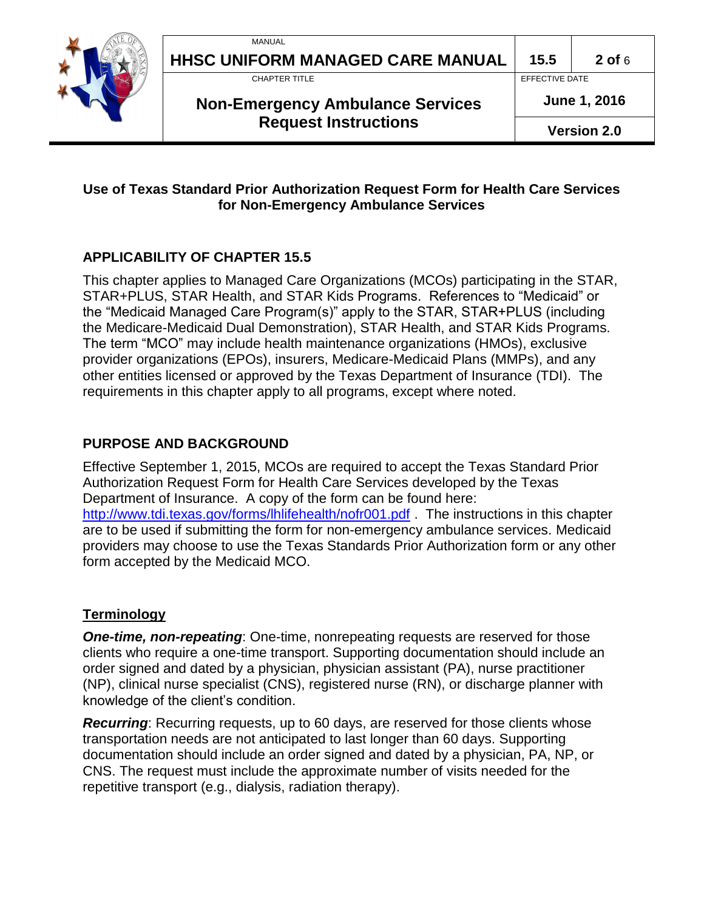

**HHSC UNIFORM MANAGED CARE MANUAL 15.5**<br>CHAPTER TITLE

#### **Non-Emergency Ambulance Services Request Instructions**

r **June 1, 2016**

EFFECTIVE DATE

#### **Use of Texas Standard Prior Authorization Request Form for Health Care Services for Non-Emergency Ambulance Services**

### **APPLICABILITY OF CHAPTER 15.5**

This chapter applies to Managed Care Organizations (MCOs) participating in the STAR, STAR+PLUS, STAR Health, and STAR Kids Programs. References to "Medicaid" or the "Medicaid Managed Care Program(s)" apply to the STAR, STAR+PLUS (including the Medicare-Medicaid Dual Demonstration), STAR Health, and STAR Kids Programs. The term "MCO" may include health maintenance organizations (HMOs), exclusive provider organizations (EPOs), insurers, Medicare-Medicaid Plans (MMPs), and any other entities licensed or approved by the Texas Department of Insurance (TDI). The requirements in this chapter apply to all programs, except where noted.

### **PURPOSE AND BACKGROUND**

Effective September 1, 2015, MCOs are required to accept the Texas Standard Prior Authorization Request Form for Health Care Services developed by the Texas Department of Insurance. A copy of the form can be found here: <http://www.tdi.texas.gov/forms/lhlifehealth/nofr001.pdf> . The instructions in this chapter are to be used if submitting the form for non-emergency ambulance services. Medicaid providers may choose to use the Texas Standards Prior Authorization form or any other form accepted by the Medicaid MCO.

#### **Terminology**

*One-time, non-repeating*: One-time, nonrepeating requests are reserved for those clients who require a one-time transport. Supporting documentation should include an order signed and dated by a physician, physician assistant (PA), nurse practitioner (NP), clinical nurse specialist (CNS), registered nurse (RN), or discharge planner with knowledge of the client's condition.

*Recurring*: Recurring requests, up to 60 days, are reserved for those clients whose transportation needs are not anticipated to last longer than 60 days. Supporting documentation should include an order signed and dated by a physician, PA, NP, or CNS. The request must include the approximate number of visits needed for the repetitive transport (e.g., dialysis, radiation therapy).

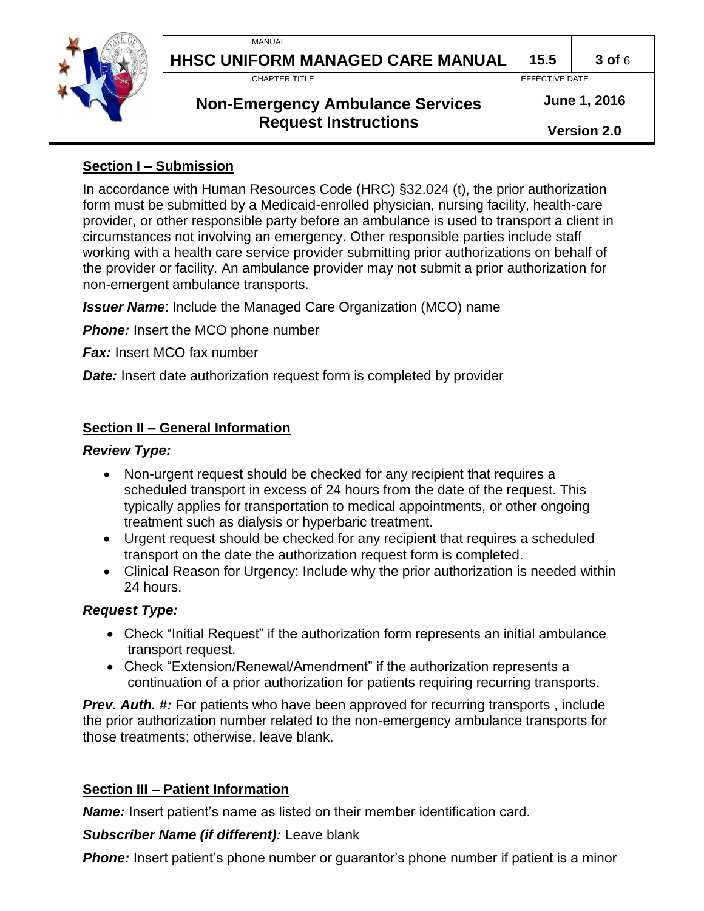

# **HHSC UNIFORM MANAGED CARE MANUAL 15.5**<br>CHAPTER TITLE

# **Non-Emergency Ambulance Services Request Instructions**

a **15.5 3 of** 6 EFFECTIVE DATE

r **June 1, 2016**

**Version 2.0**

#### **Section I – Submission**

In accordance with Human Resources Code (HRC) §32.024 (t), the prior authorization form must be submitted by a Medicaid-enrolled physician, nursing facility, health-care provider, or other responsible party before an ambulance is used to transport a client in circumstances not involving an emergency. Other responsible parties include staff working with a health care service provider submitting prior authorizations on behalf of the provider or facility. An ambulance provider may not submit a prior authorization for non-emergent ambulance transports.

*Issuer Name*: Include the Managed Care Organization (MCO) name

**Phone:** Insert the MCO phone number

*Fax:* Insert MCO fax number

*Date:* Insert date authorization request form is completed by provider

# **Section II – General Information**

#### *Review Type:*

- Non-urgent request should be checked for any recipient that requires a scheduled transport in excess of 24 hours from the date of the request. This typically applies for transportation to medical appointments, or other ongoing treatment such as dialysis or hyperbaric treatment.
- Urgent request should be checked for any recipient that requires a scheduled transport on the date the authorization request form is completed.
- Clinical Reason for Urgency: Include why the prior authorization is needed within 24 hours.

#### *Request Type:*

- Check "Initial Request" if the authorization form represents an initial ambulance transport request.
- Check "Extension/Renewal/Amendment" if the authorization represents a continuation of a prior authorization for patients requiring recurring transports.

*Prev. Auth. #:* For patients who have been approved for recurring transports , include the prior authorization number related to the non-emergency ambulance transports for those treatments; otherwise, leave blank.

# **Section III – Patient Information**

*Name:* Insert patient's name as listed on their member identification card.

# *Subscriber Name (if different):* Leave blank

**Phone:** Insert patient's phone number or guarantor's phone number if patient is a minor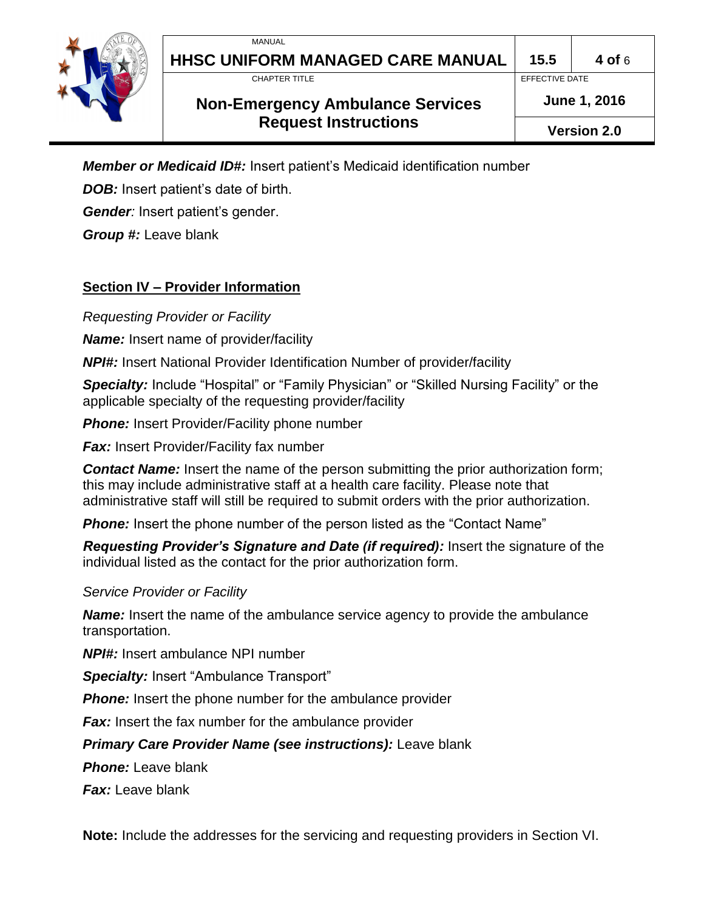

# **HHSC UNIFORM MANAGED CARE MANUAL 15.5**<br>CHAPTER TITLE

# **Non-Emergency Ambulance Services Request Instructions**

a **15.5 4 of** 6 EFFECTIVE DATE

r **June 1, 2016**

**Version 2.0**

*Member or Medicaid ID#:* Insert patient's Medicaid identification number

**DOB:** Insert patient's date of birth.

*Gender:* Insert patient's gender.

*Group #:* Leave blank

# **Section IV – Provider Information**

*Requesting Provider or Facility*

*Name:* Insert name of provider/facility

*NPI#:* Insert National Provider Identification Number of provider/facility

**Specialty:** Include "Hospital" or "Family Physician" or "Skilled Nursing Facility" or the applicable specialty of the requesting provider/facility

**Phone:** Insert Provider/Facility phone number

*Fax:* Insert Provider/Facility fax number

**Contact Name:** Insert the name of the person submitting the prior authorization form; this may include administrative staff at a health care facility. Please note that administrative staff will still be required to submit orders with the prior authorization.

**Phone:** Insert the phone number of the person listed as the "Contact Name"

*Requesting Provider's Signature and Date (if required):* Insert the signature of the individual listed as the contact for the prior authorization form.

*Service Provider or Facility*

*Name:* Insert the name of the ambulance service agency to provide the ambulance transportation.

*NPI#:* Insert ambulance NPI number

**Specialty: Insert "Ambulance Transport"** 

**Phone:** Insert the phone number for the ambulance provider

*Fax:* Insert the fax number for the ambulance provider

*Primary Care Provider Name (see instructions):* Leave blank

*Phone:* Leave blank

*Fax:* Leave blank

**Note:** Include the addresses for the servicing and requesting providers in Section VI.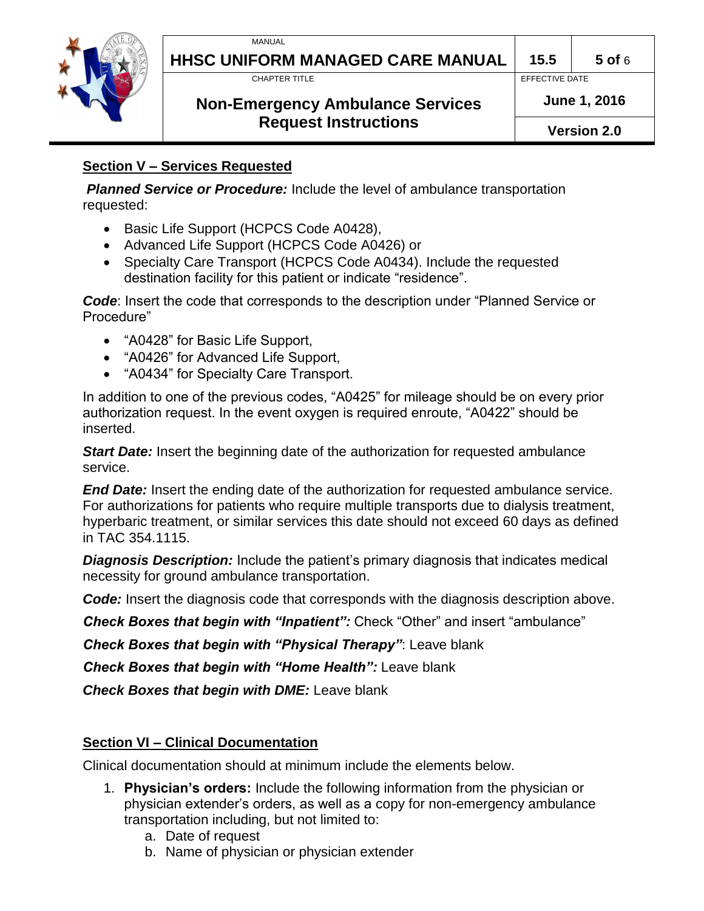

# **HHSC UNIFORM MANAGED CARE MANUAL 15.5**<br>CHAPTER TITLE

a **15.5 5 of** 6 EFFECTIVE DATE

# **Non-Emergency Ambulance Services Request Instructions**

r **June 1, 2016**

**Version 2.0**

### **Section V – Services Requested**

*Planned Service or Procedure:* Include the level of ambulance transportation requested:

- Basic Life Support (HCPCS Code A0428),
- Advanced Life Support (HCPCS Code A0426) or
- Specialty Care Transport (HCPCS Code A0434). Include the requested destination facility for this patient or indicate "residence".

*Code*: Insert the code that corresponds to the description under "Planned Service or Procedure"

- "A0428" for Basic Life Support,
- "A0426" for Advanced Life Support,
- "A0434" for Specialty Care Transport.

In addition to one of the previous codes, "A0425" for mileage should be on every prior authorization request. In the event oxygen is required enroute, "A0422" should be inserted.

*Start Date:* Insert the beginning date of the authorization for requested ambulance service.

*End Date:* Insert the ending date of the authorization for requested ambulance service. For authorizations for patients who require multiple transports due to dialysis treatment, hyperbaric treatment, or similar services this date should not exceed 60 days as defined in TAC 354.1115.

*Diagnosis Description:* Include the patient's primary diagnosis that indicates medical necessity for ground ambulance transportation.

*Code:* Insert the diagnosis code that corresponds with the diagnosis description above.

*Check Boxes that begin with "Inpatient":* Check "Other" and insert "ambulance"

*Check Boxes that begin with "Physical Therapy"*: Leave blank

*Check Boxes that begin with "Home Health":* Leave blank

*Check Boxes that begin with DME:* Leave blank

# **Section VI – Clinical Documentation**

Clinical documentation should at minimum include the elements below.

- 1. **Physician's orders:** Include the following information from the physician or physician extender's orders, as well as a copy for non-emergency ambulance transportation including, but not limited to:
	- a. Date of request
	- b. Name of physician or physician extender